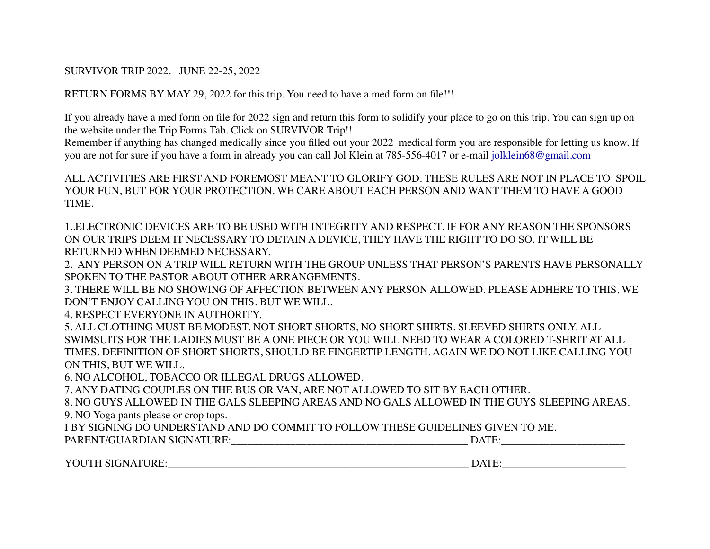## SURVIVOR TRIP 2022. JUNE 22-25, 2022

RETURN FORMS BY MAY 29, 2022 for this trip. You need to have a med form on file!!!

If you already have a med form on file for 2022 sign and return this form to solidify your place to go on this trip. You can sign up on the website under the Trip Forms Tab. Click on SURVIVOR Trip!!

Remember if anything has changed medically since you filled out your 2022 medical form you are responsible for letting us know. If you are not for sure if you have a form in already you can call Jol Klein at 785-556-4017 or e-mail jolklein68@gmail.com

ALL ACTIVITIES ARE FIRST AND FOREMOST MEANT TO GLORIFY GOD. THESE RULES ARE NOT IN PLACE TO SPOIL YOUR FUN, BUT FOR YOUR PROTECTION. WE CARE ABOUT EACH PERSON AND WANT THEM TO HAVE A GOOD TIME.

1..ELECTRONIC DEVICES ARE TO BE USED WITH INTEGRITY AND RESPECT. IF FOR ANY REASON THE SPONSORS ON OUR TRIPS DEEM IT NECESSARY TO DETAIN A DEVICE, THEY HAVE THE RIGHT TO DO SO. IT WILL BE RETURNED WHEN DEEMED NECESSARY.

2. ANY PERSON ON A TRIP WILL RETURN WITH THE GROUP UNLESS THAT PERSON'S PARENTS HAVE PERSONALLY SPOKEN TO THE PASTOR ABOUT OTHER ARRANGEMENTS.

3. THERE WILL BE NO SHOWING OF AFFECTION BETWEEN ANY PERSON ALLOWED. PLEASE ADHERE TO THIS, WE DON'T ENJOY CALLING YOU ON THIS. BUT WE WILL.

4. RESPECT EVERYONE IN AUTHORITY.

5. ALL CLOTHING MUST BE MODEST. NOT SHORT SHORTS, NO SHORT SHIRTS. SLEEVED SHIRTS ONLY. ALL SWIMSUITS FOR THE LADIES MUST BE A ONE PIECE OR YOU WILL NEED TO WEAR A COLORED T-SHRIT AT ALL TIMES. DEFINITION OF SHORT SHORTS, SHOULD BE FINGERTIP LENGTH. AGAIN WE DO NOT LIKE CALLING YOU ON THIS, BUT WE WILL.

6. NO ALCOHOL, TOBACCO OR ILLEGAL DRUGS ALLOWED.

7. ANY DATING COUPLES ON THE BUS OR VAN, ARE NOT ALLOWED TO SIT BY EACH OTHER.

8. NO GUYS ALLOWED IN THE GALS SLEEPING AREAS AND NO GALS ALLOWED IN THE GUYS SLEEPING AREAS. 9. NO Yoga pants please or crop tops.

I BY SIGNING DO UNDERSTAND AND DO COMMIT TO FOLLOW THESE GUIDELINES GIVEN TO ME.

| PARENT/GUARDIAN SIGNATURE: |  |
|----------------------------|--|
|----------------------------|--|

YOUTH SIGNATURE:\_\_\_\_\_\_\_\_\_\_\_\_\_\_\_\_\_\_\_\_\_\_\_\_\_\_\_\_\_\_\_\_\_\_\_\_\_\_\_\_\_\_\_\_\_\_\_\_\_\_\_\_\_\_\_\_ DATE:\_\_\_\_\_\_\_\_\_\_\_\_\_\_\_\_\_\_\_\_\_\_\_